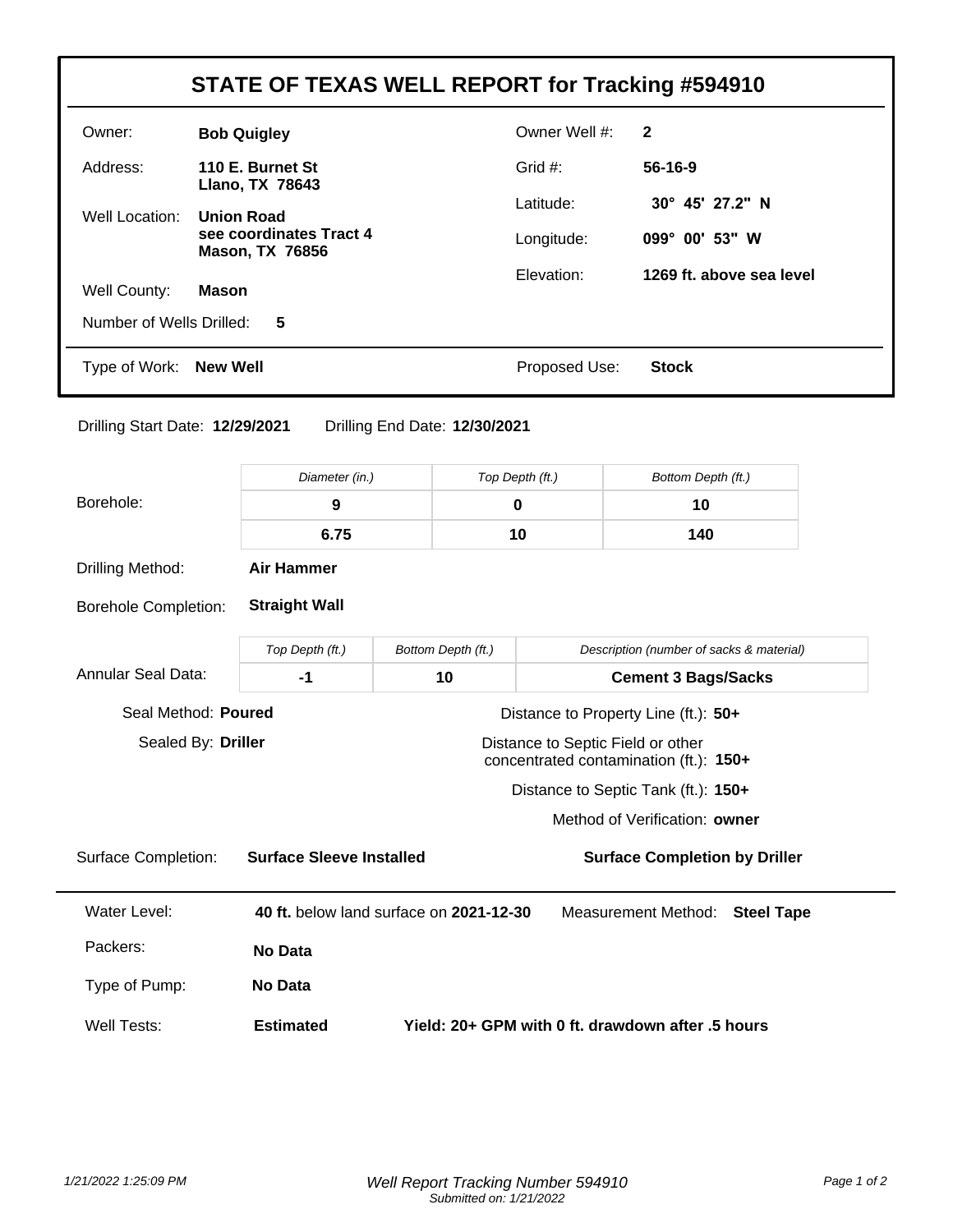|                                                  |                  |                                                                                           |                               |                                        | STATE OF TEXAS WELL REPORT for Tracking #594910 |  |
|--------------------------------------------------|------------------|-------------------------------------------------------------------------------------------|-------------------------------|----------------------------------------|-------------------------------------------------|--|
| Owner:                                           |                  | <b>Bob Quigley</b>                                                                        |                               | Owner Well #:                          | $\mathbf{2}$                                    |  |
| Address:                                         | 110 E. Burnet St |                                                                                           |                               | Grid #:                                | 56-16-9                                         |  |
| Well Location:                                   |                  | Llano, TX 78643<br><b>Union Road</b><br>see coordinates Tract 4<br><b>Mason, TX 76856</b> |                               | Latitude:                              | 30° 45' 27.2" N                                 |  |
|                                                  |                  |                                                                                           |                               | Longitude:                             | 099° 00' 53" W                                  |  |
|                                                  |                  |                                                                                           |                               | Elevation:                             | 1269 ft. above sea level                        |  |
| Well County:<br>Number of Wells Drilled:         | <b>Mason</b>     |                                                                                           |                               |                                        |                                                 |  |
|                                                  |                  | 5                                                                                         |                               |                                        |                                                 |  |
| Type of Work:                                    | <b>New Well</b>  |                                                                                           |                               | Proposed Use:                          | <b>Stock</b>                                    |  |
| Drilling Start Date: 12/29/2021                  |                  |                                                                                           | Drilling End Date: 12/30/2021 |                                        |                                                 |  |
| Borehole:                                        |                  | Diameter (in.)                                                                            |                               | Top Depth (ft.)                        | Bottom Depth (ft.)                              |  |
|                                                  |                  | 9                                                                                         |                               | $\mathbf 0$                            | 10                                              |  |
|                                                  |                  | 6.75                                                                                      |                               | 10                                     | 140                                             |  |
| Drilling Method:                                 |                  | <b>Air Hammer</b>                                                                         |                               |                                        |                                                 |  |
|                                                  |                  | <b>Straight Wall</b>                                                                      |                               |                                        |                                                 |  |
| <b>Borehole Completion:</b>                      |                  |                                                                                           |                               |                                        |                                                 |  |
|                                                  |                  | Top Depth (ft.)                                                                           | Bottom Depth (ft.)            |                                        | Description (number of sacks & material)        |  |
|                                                  |                  | $-1$                                                                                      | 10                            |                                        | <b>Cement 3 Bags/Sacks</b>                      |  |
| <b>Annular Seal Data:</b><br>Seal Method: Poured |                  |                                                                                           |                               | Distance to Property Line (ft.): 50+   |                                                 |  |
| Sealed By: Driller                               |                  |                                                                                           |                               | Distance to Septic Field or other      |                                                 |  |
|                                                  |                  |                                                                                           |                               | concentrated contamination (ft.): 150+ | Distance to Septic Tank (ft.): 150+             |  |
|                                                  |                  |                                                                                           |                               |                                        | Method of Verification: owner                   |  |
| <b>Surface Completion:</b>                       |                  | <b>Surface Sleeve Installed</b>                                                           |                               |                                        | <b>Surface Completion by Driller</b>            |  |
| <b>Water Level:</b>                              |                  | 40 ft. below land surface on 2021-12-30                                                   |                               |                                        | Measurement Method:<br><b>Steel Tape</b>        |  |
| Packers:                                         |                  | <b>No Data</b>                                                                            |                               |                                        |                                                 |  |
| Type of Pump:                                    |                  | No Data                                                                                   |                               |                                        |                                                 |  |